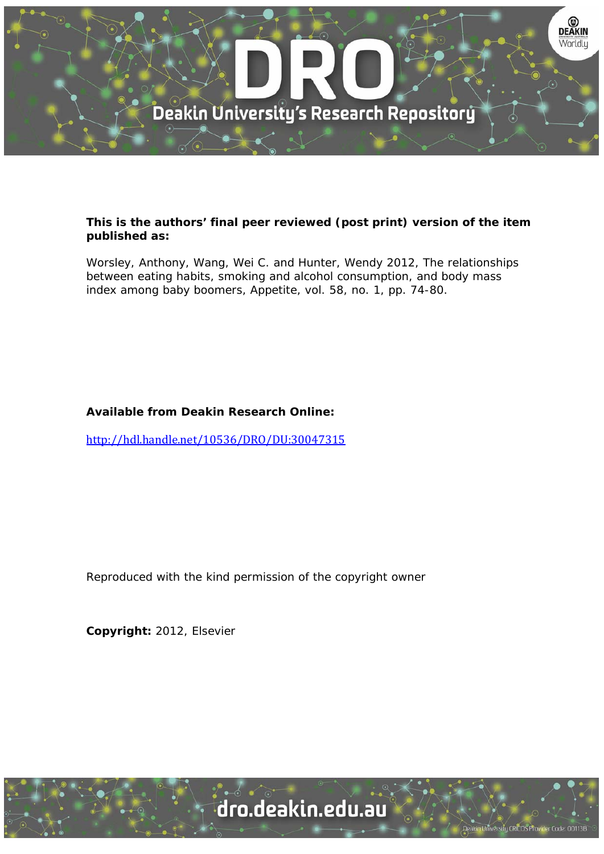

## **This is the authors' final peer reviewed (post print) version of the item published as:**

Worsley, Anthony, Wang, Wei C. and Hunter, Wendy 2012, The relationships between eating habits, smoking and alcohol consumption, and body mass index among baby boomers, Appetite, vol. 58, no. 1, pp. 74-80.

# **Available from Deakin Research Online:**

http://hdl.handle.net/10536/DRO/DU:30047315

Reproduced with the kind permission of the copyright owner

**Copyright:** 2012, Elsevier

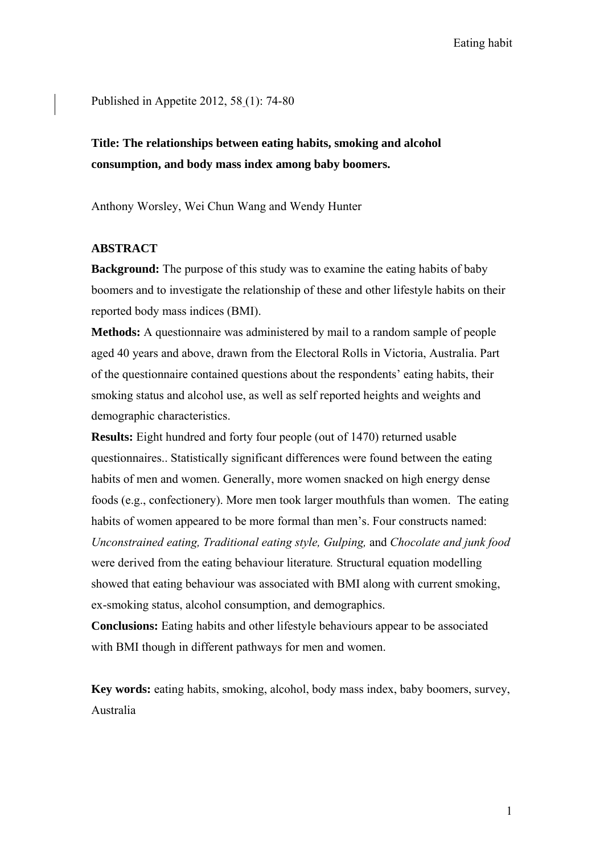Published in Appetite 2012, 58 (1): 74-80

**Title: The relationships between eating habits, smoking and alcohol consumption, and body mass index among baby boomers.** 

Anthony Worsley, Wei Chun Wang and Wendy Hunter

### **ABSTRACT**

**Background:** The purpose of this study was to examine the eating habits of baby boomers and to investigate the relationship of these and other lifestyle habits on their reported body mass indices (BMI).

**Methods:** A questionnaire was administered by mail to a random sample of people aged 40 years and above, drawn from the Electoral Rolls in Victoria, Australia. Part of the questionnaire contained questions about the respondents' eating habits, their smoking status and alcohol use, as well as self reported heights and weights and demographic characteristics.

**Results:** Eight hundred and forty four people (out of 1470) returned usable questionnaires.. Statistically significant differences were found between the eating habits of men and women. Generally, more women snacked on high energy dense foods (e.g., confectionery). More men took larger mouthfuls than women. The eating habits of women appeared to be more formal than men's. Four constructs named: *Unconstrained eating, Traditional eating style, Gulping,* and *Chocolate and junk food* were derived from the eating behaviour literature*.* Structural equation modelling showed that eating behaviour was associated with BMI along with current smoking, ex-smoking status, alcohol consumption, and demographics.

**Conclusions:** Eating habits and other lifestyle behaviours appear to be associated with BMI though in different pathways for men and women.

**Key words:** eating habits, smoking, alcohol, body mass index, baby boomers, survey, Australia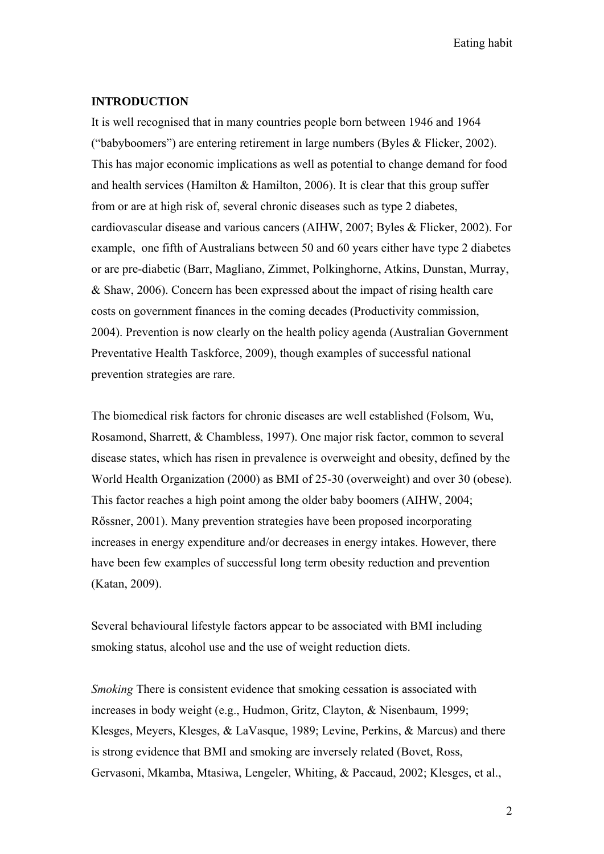### **INTRODUCTION**

It is well recognised that in many countries people born between 1946 and 1964 ("babyboomers") are entering retirement in large numbers (Byles & Flicker, 2002). This has major economic implications as well as potential to change demand for food and health services (Hamilton  $\&$  Hamilton, 2006). It is clear that this group suffer from or are at high risk of, several chronic diseases such as type 2 diabetes, cardiovascular disease and various cancers (AIHW, 2007; Byles & Flicker, 2002). For example, one fifth of Australians between 50 and 60 years either have type 2 diabetes or are pre-diabetic (Barr, Magliano, Zimmet, Polkinghorne, Atkins, Dunstan, Murray, & Shaw, 2006). Concern has been expressed about the impact of rising health care costs on government finances in the coming decades (Productivity commission, 2004). Prevention is now clearly on the health policy agenda (Australian Government Preventative Health Taskforce, 2009), though examples of successful national prevention strategies are rare.

The biomedical risk factors for chronic diseases are well established (Folsom, Wu, Rosamond, Sharrett, & Chambless, 1997). One major risk factor, common to several disease states, which has risen in prevalence is overweight and obesity, defined by the World Health Organization (2000) as BMI of 25-30 (overweight) and over 30 (obese). This factor reaches a high point among the older baby boomers (AIHW, 2004; Rőssner, 2001). Many prevention strategies have been proposed incorporating increases in energy expenditure and/or decreases in energy intakes. However, there have been few examples of successful long term obesity reduction and prevention (Katan, 2009).

Several behavioural lifestyle factors appear to be associated with BMI including smoking status, alcohol use and the use of weight reduction diets.

*Smoking* There is consistent evidence that smoking cessation is associated with increases in body weight (e.g., Hudmon, Gritz, Clayton, & Nisenbaum, 1999; Klesges, Meyers, Klesges, & LaVasque, 1989; Levine, Perkins, & Marcus) and there is strong evidence that BMI and smoking are inversely related (Bovet, Ross, Gervasoni, Mkamba, Mtasiwa, Lengeler, Whiting, & Paccaud, 2002; Klesges, et al.,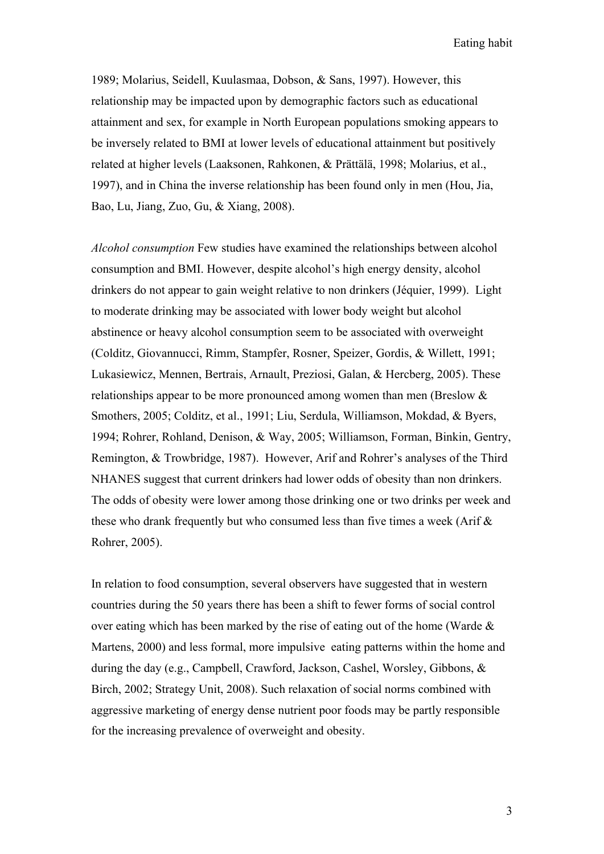1989; Molarius, Seidell, Kuulasmaa, Dobson, & Sans, 1997). However, this relationship may be impacted upon by demographic factors such as educational attainment and sex, for example in North European populations smoking appears to be inversely related to BMI at lower levels of educational attainment but positively related at higher levels (Laaksonen, Rahkonen, & Prättälä, 1998; Molarius, et al., 1997), and in China the inverse relationship has been found only in men (Hou, Jia, Bao, Lu, Jiang, Zuo, Gu, & Xiang, 2008).

*Alcohol consumption* Few studies have examined the relationships between alcohol consumption and BMI. However, despite alcohol's high energy density, alcohol drinkers do not appear to gain weight relative to non drinkers (Jéquier, 1999). Light to moderate drinking may be associated with lower body weight but alcohol abstinence or heavy alcohol consumption seem to be associated with overweight (Colditz, Giovannucci, Rimm, Stampfer, Rosner, Speizer, Gordis, & Willett, 1991; Lukasiewicz, Mennen, Bertrais, Arnault, Preziosi, Galan, & Hercberg, 2005). These relationships appear to be more pronounced among women than men (Breslow & Smothers, 2005; Colditz, et al., 1991; Liu, Serdula, Williamson, Mokdad, & Byers, 1994; Rohrer, Rohland, Denison, & Way, 2005; Williamson, Forman, Binkin, Gentry, Remington, & Trowbridge, 1987). However, Arif and Rohrer's analyses of the Third NHANES suggest that current drinkers had lower odds of obesity than non drinkers. The odds of obesity were lower among those drinking one or two drinks per week and these who drank frequently but who consumed less than five times a week (Arif & Rohrer, 2005).

In relation to food consumption, several observers have suggested that in western countries during the 50 years there has been a shift to fewer forms of social control over eating which has been marked by the rise of eating out of the home (Warde & Martens, 2000) and less formal, more impulsive eating patterns within the home and during the day (e.g., Campbell, Crawford, Jackson, Cashel, Worsley, Gibbons, & Birch, 2002; Strategy Unit, 2008). Such relaxation of social norms combined with aggressive marketing of energy dense nutrient poor foods may be partly responsible for the increasing prevalence of overweight and obesity.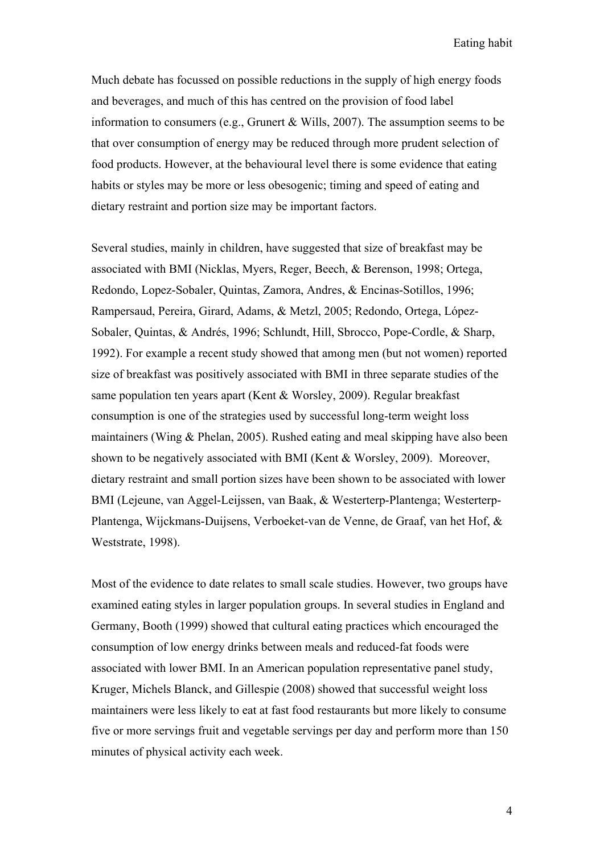Much debate has focussed on possible reductions in the supply of high energy foods and beverages, and much of this has centred on the provision of food label information to consumers (e.g., Grunert & Wills, 2007). The assumption seems to be that over consumption of energy may be reduced through more prudent selection of food products. However, at the behavioural level there is some evidence that eating habits or styles may be more or less obesogenic; timing and speed of eating and dietary restraint and portion size may be important factors.

Several studies, mainly in children, have suggested that size of breakfast may be associated with BMI (Nicklas, Myers, Reger, Beech, & Berenson, 1998; Ortega, Redondo, Lopez-Sobaler, Quintas, Zamora, Andres, & Encinas-Sotillos, 1996; Rampersaud, Pereira, Girard, Adams, & Metzl, 2005; Redondo, Ortega, López-Sobaler, Quintas, & Andrés, 1996; Schlundt, Hill, Sbrocco, Pope-Cordle, & Sharp, 1992). For example a recent study showed that among men (but not women) reported size of breakfast was positively associated with BMI in three separate studies of the same population ten years apart (Kent & Worsley, 2009). Regular breakfast consumption is one of the strategies used by successful long-term weight loss maintainers (Wing & Phelan, 2005). Rushed eating and meal skipping have also been shown to be negatively associated with BMI (Kent & Worsley, 2009). Moreover, dietary restraint and small portion sizes have been shown to be associated with lower BMI (Lejeune, van Aggel-Leijssen, van Baak, & Westerterp-Plantenga; Westerterp-Plantenga, Wijckmans-Duijsens, Verboeket-van de Venne, de Graaf, van het Hof, & Weststrate, 1998).

Most of the evidence to date relates to small scale studies. However, two groups have examined eating styles in larger population groups. In several studies in England and Germany, Booth (1999) showed that cultural eating practices which encouraged the consumption of low energy drinks between meals and reduced-fat foods were associated with lower BMI. In an American population representative panel study, Kruger, Michels Blanck, and Gillespie (2008) showed that successful weight loss maintainers were less likely to eat at fast food restaurants but more likely to consume five or more servings fruit and vegetable servings per day and perform more than 150 minutes of physical activity each week.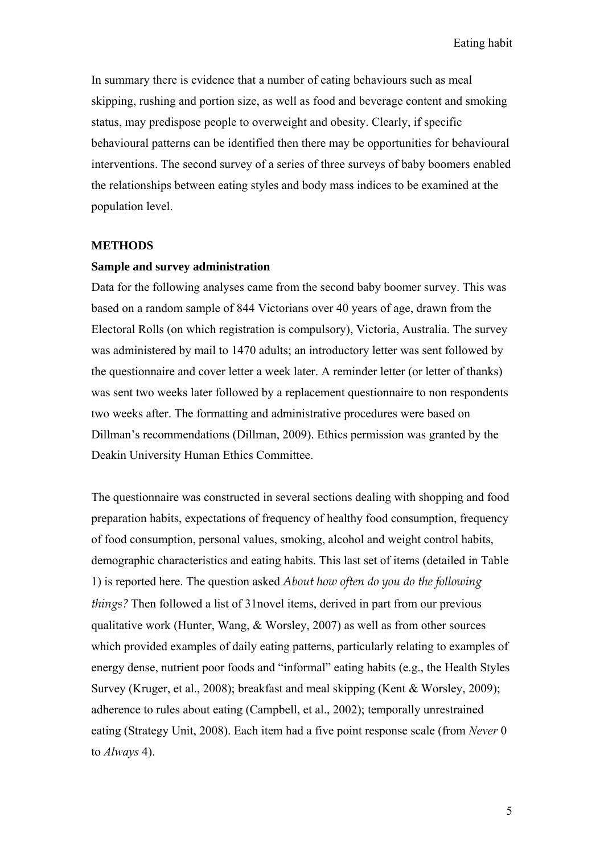In summary there is evidence that a number of eating behaviours such as meal skipping, rushing and portion size, as well as food and beverage content and smoking status, may predispose people to overweight and obesity. Clearly, if specific behavioural patterns can be identified then there may be opportunities for behavioural interventions. The second survey of a series of three surveys of baby boomers enabled the relationships between eating styles and body mass indices to be examined at the population level.

#### **METHODS**

### **Sample and survey administration**

Data for the following analyses came from the second baby boomer survey. This was based on a random sample of 844 Victorians over 40 years of age, drawn from the Electoral Rolls (on which registration is compulsory), Victoria, Australia. The survey was administered by mail to 1470 adults; an introductory letter was sent followed by the questionnaire and cover letter a week later. A reminder letter (or letter of thanks) was sent two weeks later followed by a replacement questionnaire to non respondents two weeks after. The formatting and administrative procedures were based on Dillman's recommendations (Dillman, 2009). Ethics permission was granted by the Deakin University Human Ethics Committee.

The questionnaire was constructed in several sections dealing with shopping and food preparation habits, expectations of frequency of healthy food consumption, frequency of food consumption, personal values, smoking, alcohol and weight control habits, demographic characteristics and eating habits. This last set of items (detailed in Table 1) is reported here. The question asked *About how often do you do the following things?* Then followed a list of 31novel items, derived in part from our previous qualitative work (Hunter, Wang, & Worsley, 2007) as well as from other sources which provided examples of daily eating patterns, particularly relating to examples of energy dense, nutrient poor foods and "informal" eating habits (e.g., the Health Styles Survey (Kruger, et al., 2008); breakfast and meal skipping (Kent & Worsley, 2009); adherence to rules about eating (Campbell, et al., 2002); temporally unrestrained eating (Strategy Unit, 2008). Each item had a five point response scale (from *Never* 0 to *Always* 4).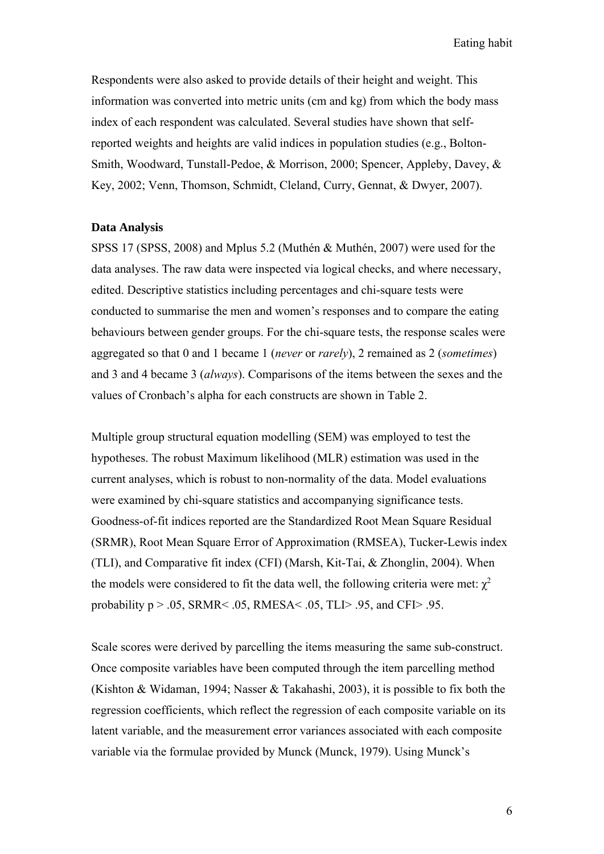Respondents were also asked to provide details of their height and weight. This information was converted into metric units (cm and kg) from which the body mass index of each respondent was calculated. Several studies have shown that selfreported weights and heights are valid indices in population studies (e.g., Bolton-Smith, Woodward, Tunstall-Pedoe, & Morrison, 2000; Spencer, Appleby, Davey, & Key, 2002; Venn, Thomson, Schmidt, Cleland, Curry, Gennat, & Dwyer, 2007).

#### **Data Analysis**

SPSS 17 (SPSS, 2008) and Mplus 5.2 (Muthén & Muthén, 2007) were used for the data analyses. The raw data were inspected via logical checks, and where necessary, edited. Descriptive statistics including percentages and chi-square tests were conducted to summarise the men and women's responses and to compare the eating behaviours between gender groups. For the chi-square tests, the response scales were aggregated so that 0 and 1 became 1 (*never* or *rarely*), 2 remained as 2 (*sometimes*) and 3 and 4 became 3 (*always*). Comparisons of the items between the sexes and the values of Cronbach's alpha for each constructs are shown in Table 2.

Multiple group structural equation modelling (SEM) was employed to test the hypotheses. The robust Maximum likelihood (MLR) estimation was used in the current analyses, which is robust to non-normality of the data. Model evaluations were examined by chi-square statistics and accompanying significance tests. Goodness-of-fit indices reported are the Standardized Root Mean Square Residual (SRMR), Root Mean Square Error of Approximation (RMSEA), Tucker-Lewis index (TLI), and Comparative fit index (CFI) (Marsh, Kit-Tai, & Zhonglin, 2004). When the models were considered to fit the data well, the following criteria were met:  $\chi^2$ probability  $p > 0.05$ , SRMR<  $0.05$ , RMESA<  $0.05$ , TLI $> 0.95$ , and CFI $> 0.95$ .

Scale scores were derived by parcelling the items measuring the same sub-construct. Once composite variables have been computed through the item parcelling method (Kishton & Widaman, 1994; Nasser & Takahashi, 2003), it is possible to fix both the regression coefficients, which reflect the regression of each composite variable on its latent variable, and the measurement error variances associated with each composite variable via the formulae provided by Munck (Munck, 1979). Using Munck's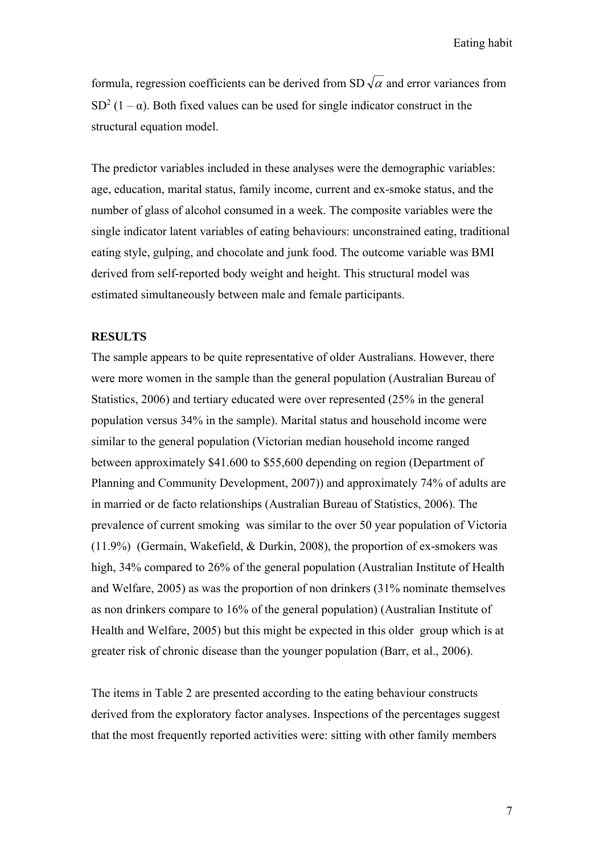formula, regression coefficients can be derived from  $SD\sqrt{\alpha}$  and error variances from SD<sup>2</sup> (1 –  $\alpha$ ). Both fixed values can be used for single indicator construct in the structural equation model.

The predictor variables included in these analyses were the demographic variables: age, education, marital status, family income, current and ex-smoke status, and the number of glass of alcohol consumed in a week. The composite variables were the single indicator latent variables of eating behaviours: unconstrained eating, traditional eating style, gulping, and chocolate and junk food. The outcome variable was BMI derived from self-reported body weight and height. This structural model was estimated simultaneously between male and female participants.

#### **RESULTS**

The sample appears to be quite representative of older Australians. However, there were more women in the sample than the general population (Australian Bureau of Statistics, 2006) and tertiary educated were over represented (25% in the general population versus 34% in the sample). Marital status and household income were similar to the general population (Victorian median household income ranged between approximately \$41.600 to \$55,600 depending on region (Department of Planning and Community Development, 2007)) and approximately 74% of adults are in married or de facto relationships (Australian Bureau of Statistics, 2006). The prevalence of current smoking was similar to the over 50 year population of Victoria (11.9%) (Germain, Wakefield, & Durkin, 2008), the proportion of ex-smokers was high, 34% compared to 26% of the general population (Australian Institute of Health and Welfare, 2005) as was the proportion of non drinkers (31% nominate themselves as non drinkers compare to 16% of the general population) (Australian Institute of Health and Welfare, 2005) but this might be expected in this older group which is at greater risk of chronic disease than the younger population (Barr, et al., 2006).

The items in Table 2 are presented according to the eating behaviour constructs derived from the exploratory factor analyses. Inspections of the percentages suggest that the most frequently reported activities were: sitting with other family members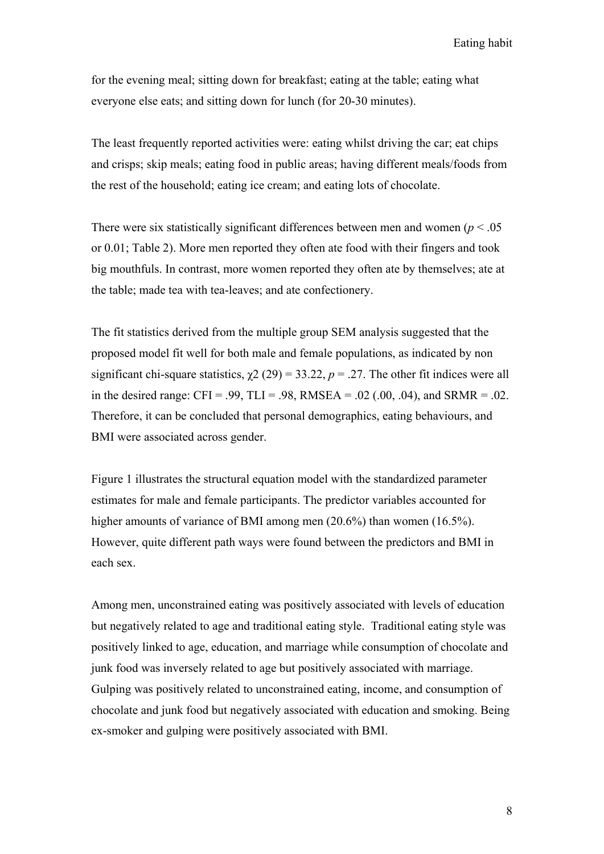for the evening meal; sitting down for breakfast; eating at the table; eating what everyone else eats; and sitting down for lunch (for 20-30 minutes).

The least frequently reported activities were: eating whilst driving the car; eat chips and crisps; skip meals; eating food in public areas; having different meals/foods from the rest of the household; eating ice cream; and eating lots of chocolate.

There were six statistically significant differences between men and women ( $p < .05$ ) or 0.01; Table 2). More men reported they often ate food with their fingers and took big mouthfuls. In contrast, more women reported they often ate by themselves; ate at the table; made tea with tea-leaves; and ate confectionery.

The fit statistics derived from the multiple group SEM analysis suggested that the proposed model fit well for both male and female populations, as indicated by non significant chi-square statistics,  $\chi$ 2 (29) = 33.22, *p* = .27. The other fit indices were all in the desired range: CFI = .99, TLI = .98, RMSEA = .02 (.00, .04), and SRMR = .02. Therefore, it can be concluded that personal demographics, eating behaviours, and BMI were associated across gender.

Figure 1 illustrates the structural equation model with the standardized parameter estimates for male and female participants. The predictor variables accounted for higher amounts of variance of BMI among men (20.6%) than women (16.5%). However, quite different path ways were found between the predictors and BMI in each sex.

Among men, unconstrained eating was positively associated with levels of education but negatively related to age and traditional eating style. Traditional eating style was positively linked to age, education, and marriage while consumption of chocolate and junk food was inversely related to age but positively associated with marriage. Gulping was positively related to unconstrained eating, income, and consumption of chocolate and junk food but negatively associated with education and smoking. Being ex-smoker and gulping were positively associated with BMI.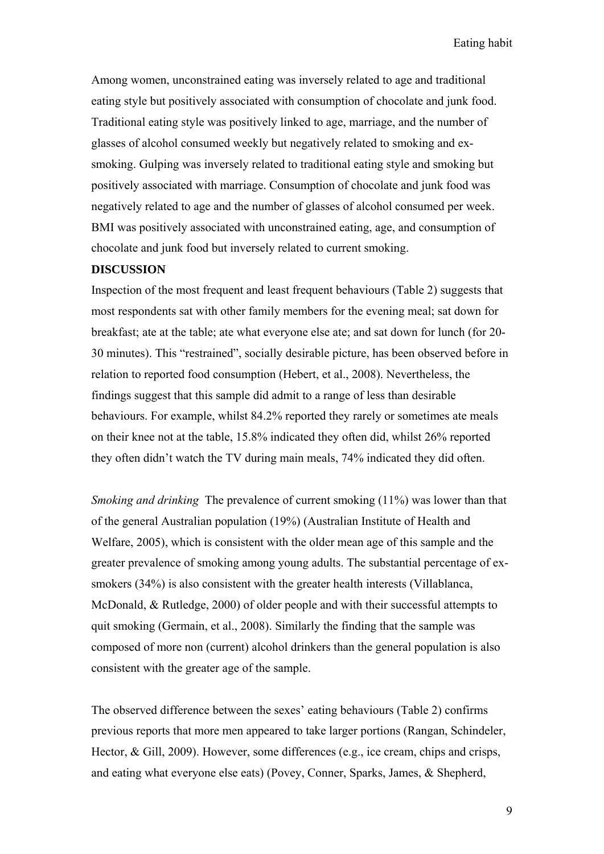Among women, unconstrained eating was inversely related to age and traditional eating style but positively associated with consumption of chocolate and junk food. Traditional eating style was positively linked to age, marriage, and the number of glasses of alcohol consumed weekly but negatively related to smoking and exsmoking. Gulping was inversely related to traditional eating style and smoking but positively associated with marriage. Consumption of chocolate and junk food was negatively related to age and the number of glasses of alcohol consumed per week. BMI was positively associated with unconstrained eating, age, and consumption of chocolate and junk food but inversely related to current smoking.

#### **DISCUSSION**

Inspection of the most frequent and least frequent behaviours (Table 2) suggests that most respondents sat with other family members for the evening meal; sat down for breakfast; ate at the table; ate what everyone else ate; and sat down for lunch (for 20- 30 minutes). This "restrained", socially desirable picture, has been observed before in relation to reported food consumption (Hebert, et al., 2008). Nevertheless, the findings suggest that this sample did admit to a range of less than desirable behaviours. For example, whilst 84.2% reported they rarely or sometimes ate meals on their knee not at the table, 15.8% indicated they often did, whilst 26% reported they often didn't watch the TV during main meals, 74% indicated they did often.

*Smoking and drinking* The prevalence of current smoking (11%) was lower than that of the general Australian population (19%) (Australian Institute of Health and Welfare, 2005), which is consistent with the older mean age of this sample and the greater prevalence of smoking among young adults. The substantial percentage of exsmokers (34%) is also consistent with the greater health interests (Villablanca, McDonald, & Rutledge, 2000) of older people and with their successful attempts to quit smoking (Germain, et al., 2008). Similarly the finding that the sample was composed of more non (current) alcohol drinkers than the general population is also consistent with the greater age of the sample.

The observed difference between the sexes' eating behaviours (Table 2) confirms previous reports that more men appeared to take larger portions (Rangan, Schindeler, Hector, & Gill, 2009). However, some differences (e.g., ice cream, chips and crisps, and eating what everyone else eats) (Povey, Conner, Sparks, James, & Shepherd,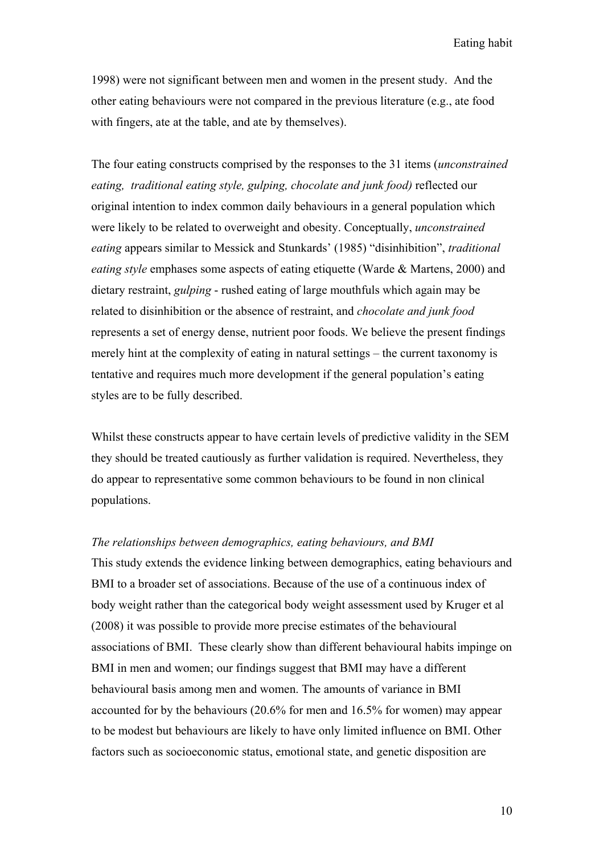1998) were not significant between men and women in the present study. And the other eating behaviours were not compared in the previous literature (e.g., ate food with fingers, ate at the table, and ate by themselves).

The four eating constructs comprised by the responses to the 31 items (*unconstrained eating, traditional eating style, gulping, chocolate and junk food)* reflected our original intention to index common daily behaviours in a general population which were likely to be related to overweight and obesity. Conceptually, *unconstrained eating* appears similar to Messick and Stunkards' (1985) "disinhibition", *traditional eating style* emphases some aspects of eating etiquette (Warde & Martens, 2000) and dietary restraint, *gulping* - rushed eating of large mouthfuls which again may be related to disinhibition or the absence of restraint, and *chocolate and junk food* represents a set of energy dense, nutrient poor foods. We believe the present findings merely hint at the complexity of eating in natural settings – the current taxonomy is tentative and requires much more development if the general population's eating styles are to be fully described.

Whilst these constructs appear to have certain levels of predictive validity in the SEM they should be treated cautiously as further validation is required. Nevertheless, they do appear to representative some common behaviours to be found in non clinical populations.

## *The relationships between demographics, eating behaviours, and BMI*

This study extends the evidence linking between demographics, eating behaviours and BMI to a broader set of associations. Because of the use of a continuous index of body weight rather than the categorical body weight assessment used by Kruger et al (2008) it was possible to provide more precise estimates of the behavioural associations of BMI. These clearly show than different behavioural habits impinge on BMI in men and women; our findings suggest that BMI may have a different behavioural basis among men and women. The amounts of variance in BMI accounted for by the behaviours (20.6% for men and 16.5% for women) may appear to be modest but behaviours are likely to have only limited influence on BMI. Other factors such as socioeconomic status, emotional state, and genetic disposition are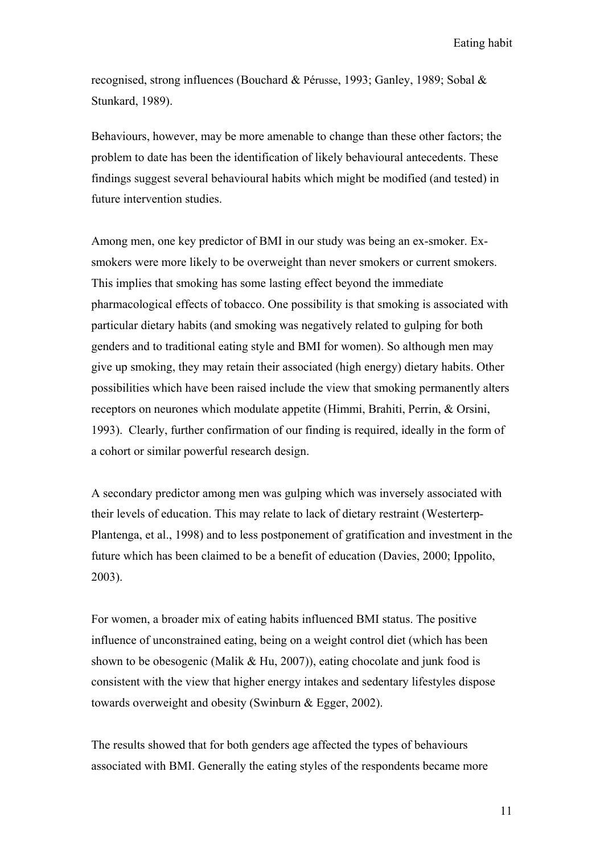recognised, strong influences (Bouchard & Pérusse, 1993; Ganley, 1989; Sobal & Stunkard, 1989).

Behaviours, however, may be more amenable to change than these other factors; the problem to date has been the identification of likely behavioural antecedents. These findings suggest several behavioural habits which might be modified (and tested) in future intervention studies.

Among men, one key predictor of BMI in our study was being an ex-smoker. Exsmokers were more likely to be overweight than never smokers or current smokers. This implies that smoking has some lasting effect beyond the immediate pharmacological effects of tobacco. One possibility is that smoking is associated with particular dietary habits (and smoking was negatively related to gulping for both genders and to traditional eating style and BMI for women). So although men may give up smoking, they may retain their associated (high energy) dietary habits. Other possibilities which have been raised include the view that smoking permanently alters receptors on neurones which modulate appetite (Himmi, Brahiti, Perrin, & Orsini, 1993). Clearly, further confirmation of our finding is required, ideally in the form of a cohort or similar powerful research design.

A secondary predictor among men was gulping which was inversely associated with their levels of education. This may relate to lack of dietary restraint (Westerterp-Plantenga, et al., 1998) and to less postponement of gratification and investment in the future which has been claimed to be a benefit of education (Davies, 2000; Ippolito, 2003).

For women, a broader mix of eating habits influenced BMI status. The positive influence of unconstrained eating, being on a weight control diet (which has been shown to be obesogenic (Malik & Hu, 2007)), eating chocolate and junk food is consistent with the view that higher energy intakes and sedentary lifestyles dispose towards overweight and obesity (Swinburn & Egger, 2002).

The results showed that for both genders age affected the types of behaviours associated with BMI. Generally the eating styles of the respondents became more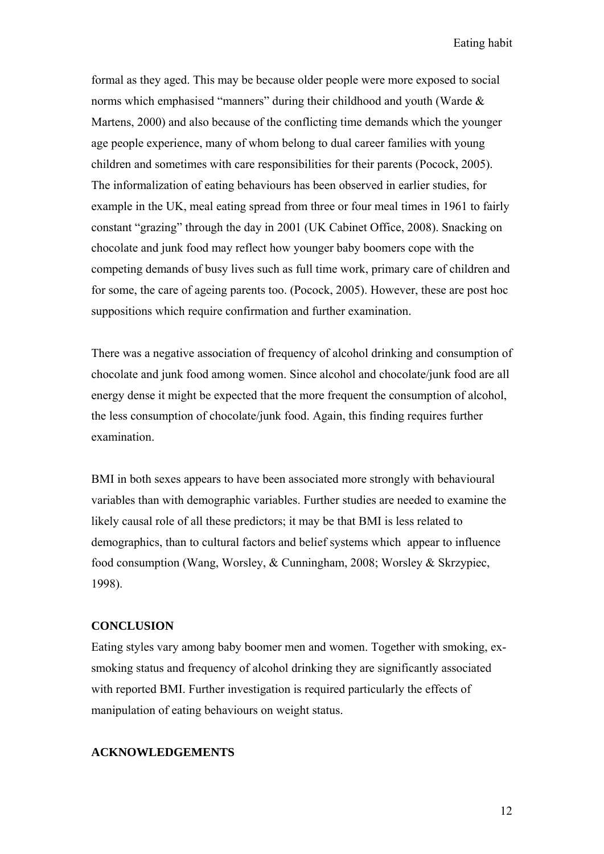formal as they aged. This may be because older people were more exposed to social norms which emphasised "manners" during their childhood and youth (Warde & Martens, 2000) and also because of the conflicting time demands which the younger age people experience, many of whom belong to dual career families with young children and sometimes with care responsibilities for their parents (Pocock, 2005). The informalization of eating behaviours has been observed in earlier studies, for example in the UK, meal eating spread from three or four meal times in 1961 to fairly constant "grazing" through the day in 2001 (UK Cabinet Office, 2008). Snacking on chocolate and junk food may reflect how younger baby boomers cope with the competing demands of busy lives such as full time work, primary care of children and for some, the care of ageing parents too. (Pocock, 2005). However, these are post hoc suppositions which require confirmation and further examination.

There was a negative association of frequency of alcohol drinking and consumption of chocolate and junk food among women. Since alcohol and chocolate/junk food are all energy dense it might be expected that the more frequent the consumption of alcohol, the less consumption of chocolate/junk food. Again, this finding requires further examination.

BMI in both sexes appears to have been associated more strongly with behavioural variables than with demographic variables. Further studies are needed to examine the likely causal role of all these predictors; it may be that BMI is less related to demographics, than to cultural factors and belief systems which appear to influence food consumption (Wang, Worsley, & Cunningham, 2008; Worsley & Skrzypiec, 1998).

## **CONCLUSION**

Eating styles vary among baby boomer men and women. Together with smoking, exsmoking status and frequency of alcohol drinking they are significantly associated with reported BMI. Further investigation is required particularly the effects of manipulation of eating behaviours on weight status.

## **ACKNOWLEDGEMENTS**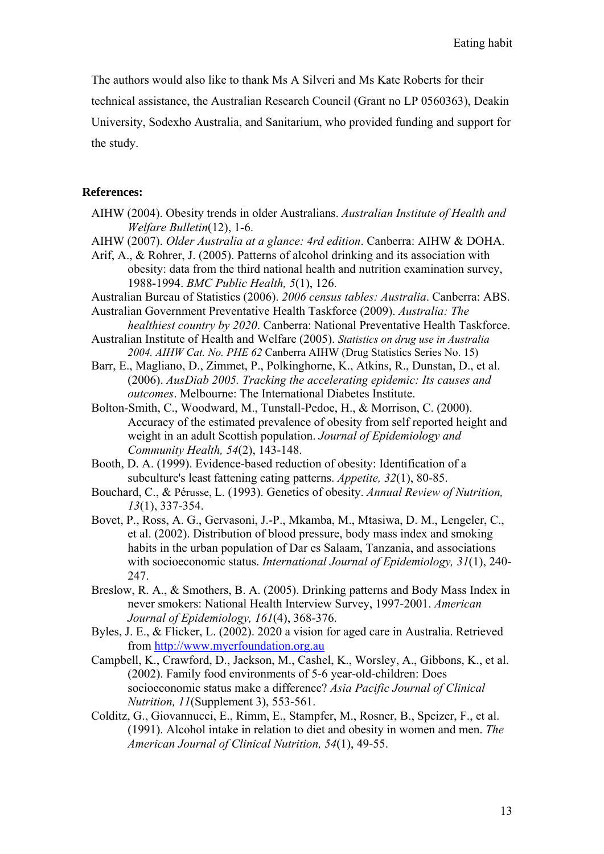The authors would also like to thank Ms A Silveri and Ms Kate Roberts for their

technical assistance, the Australian Research Council (Grant no LP 0560363), Deakin

University, Sodexho Australia, and Sanitarium, who provided funding and support for the study.

#### **References:**

- AIHW (2004). Obesity trends in older Australians. *Australian Institute of Health and Welfare Bulletin*(12), 1-6.
- AIHW (2007). *Older Australia at a glance: 4rd edition*. Canberra: AIHW & DOHA.
- Arif, A., & Rohrer, J. (2005). Patterns of alcohol drinking and its association with obesity: data from the third national health and nutrition examination survey, 1988-1994. *BMC Public Health, 5*(1), 126.
- Australian Bureau of Statistics (2006). *2006 census tables: Australia*. Canberra: ABS.

Australian Government Preventative Health Taskforce (2009). *Australia: The healthiest country by 2020*. Canberra: National Preventative Health Taskforce.

Australian Institute of Health and Welfare (2005). *Statistics on drug use in Australia 2004. AIHW Cat. No. PHE 62* Canberra AIHW (Drug Statistics Series No. 15)

- Barr, E., Magliano, D., Zimmet, P., Polkinghorne, K., Atkins, R., Dunstan, D., et al. (2006). *AusDiab 2005. Tracking the accelerating epidemic: Its causes and outcomes*. Melbourne: The International Diabetes Institute.
- Bolton-Smith, C., Woodward, M., Tunstall-Pedoe, H., & Morrison, C. (2000). Accuracy of the estimated prevalence of obesity from self reported height and weight in an adult Scottish population. *Journal of Epidemiology and Community Health, 54*(2), 143-148.
- Booth, D. A. (1999). Evidence-based reduction of obesity: Identification of a subculture's least fattening eating patterns. *Appetite, 32*(1), 80-85.

Bouchard, C., & Pérusse, L. (1993). Genetics of obesity. *Annual Review of Nutrition, 13*(1), 337-354.

- Bovet, P., Ross, A. G., Gervasoni, J.-P., Mkamba, M., Mtasiwa, D. M., Lengeler, C., et al. (2002). Distribution of blood pressure, body mass index and smoking habits in the urban population of Dar es Salaam, Tanzania, and associations with socioeconomic status. *International Journal of Epidemiology, 31*(1), 240- 247.
- Breslow, R. A., & Smothers, B. A. (2005). Drinking patterns and Body Mass Index in never smokers: National Health Interview Survey, 1997-2001. *American Journal of Epidemiology, 161*(4), 368-376.
- Byles, J. E., & Flicker, L. (2002). 2020 a vision for aged care in Australia. Retrieved from http://www.myerfoundation.org.au
- Campbell, K., Crawford, D., Jackson, M., Cashel, K., Worsley, A., Gibbons, K., et al. (2002). Family food environments of 5-6 year-old-children: Does socioeconomic status make a difference? *Asia Pacific Journal of Clinical Nutrition, 11*(Supplement 3), 553-561.
- Colditz, G., Giovannucci, E., Rimm, E., Stampfer, M., Rosner, B., Speizer, F., et al. (1991). Alcohol intake in relation to diet and obesity in women and men. *The American Journal of Clinical Nutrition, 54*(1), 49-55.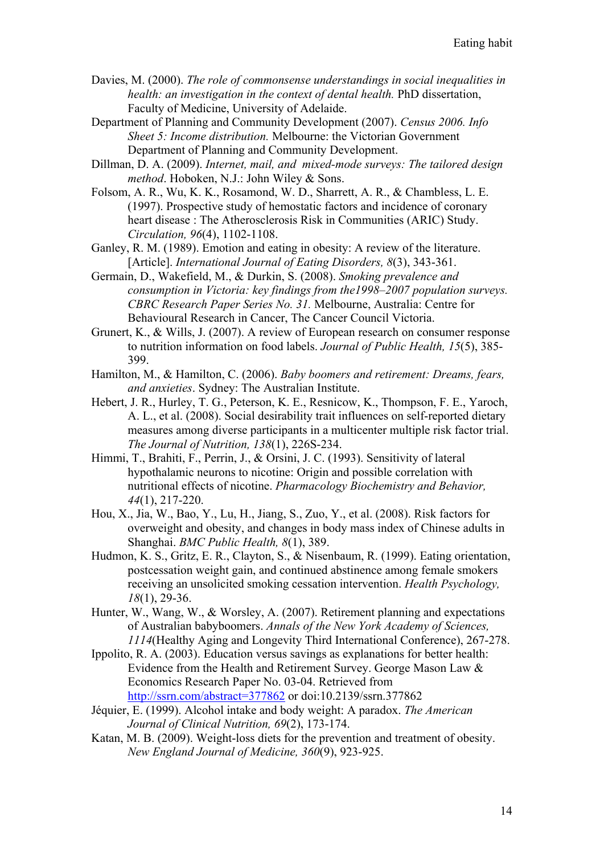- Davies, M. (2000). *The role of commonsense understandings in social inequalities in health: an investigation in the context of dental health.* PhD dissertation, Faculty of Medicine, University of Adelaide.
- Department of Planning and Community Development (2007). *Census 2006. Info Sheet 5: Income distribution.* Melbourne: the Victorian Government Department of Planning and Community Development.

Dillman, D. A. (2009). *Internet, mail, and mixed-mode surveys: The tailored design method*. Hoboken, N.J.: John Wiley & Sons.

Folsom, A. R., Wu, K. K., Rosamond, W. D., Sharrett, A. R., & Chambless, L. E. (1997). Prospective study of hemostatic factors and incidence of coronary heart disease : The Atherosclerosis Risk in Communities (ARIC) Study. *Circulation, 96*(4), 1102-1108.

Ganley, R. M. (1989). Emotion and eating in obesity: A review of the literature. [Article]. *International Journal of Eating Disorders, 8*(3), 343-361.

Germain, D., Wakefield, M., & Durkin, S. (2008). *Smoking prevalence and consumption in Victoria: key findings from the1998–2007 population surveys. CBRC Research Paper Series No. 31.* Melbourne, Australia: Centre for Behavioural Research in Cancer, The Cancer Council Victoria.

Grunert, K., & Wills, J. (2007). A review of European research on consumer response to nutrition information on food labels. *Journal of Public Health, 15*(5), 385- 399.

Hamilton, M., & Hamilton, C. (2006). *Baby boomers and retirement: Dreams, fears, and anxieties*. Sydney: The Australian Institute.

- Hebert, J. R., Hurley, T. G., Peterson, K. E., Resnicow, K., Thompson, F. E., Yaroch, A. L., et al. (2008). Social desirability trait influences on self-reported dietary measures among diverse participants in a multicenter multiple risk factor trial. *The Journal of Nutrition, 138*(1), 226S-234.
- Himmi, T., Brahiti, F., Perrin, J., & Orsini, J. C. (1993). Sensitivity of lateral hypothalamic neurons to nicotine: Origin and possible correlation with nutritional effects of nicotine. *Pharmacology Biochemistry and Behavior, 44*(1), 217-220.
- Hou, X., Jia, W., Bao, Y., Lu, H., Jiang, S., Zuo, Y., et al. (2008). Risk factors for overweight and obesity, and changes in body mass index of Chinese adults in Shanghai. *BMC Public Health, 8*(1), 389.
- Hudmon, K. S., Gritz, E. R., Clayton, S., & Nisenbaum, R. (1999). Eating orientation, postcessation weight gain, and continued abstinence among female smokers receiving an unsolicited smoking cessation intervention. *Health Psychology, 18*(1), 29-36.
- Hunter, W., Wang, W., & Worsley, A. (2007). Retirement planning and expectations of Australian babyboomers. *Annals of the New York Academy of Sciences, 1114*(Healthy Aging and Longevity Third International Conference), 267-278.
- Ippolito, R. A. (2003). Education versus savings as explanations for better health: Evidence from the Health and Retirement Survey. George Mason Law & Economics Research Paper No. 03-04. Retrieved from http://ssrn.com/abstract=377862 or doi:10.2139/ssrn.377862
- Jéquier, E. (1999). Alcohol intake and body weight: A paradox. *The American Journal of Clinical Nutrition, 69*(2), 173-174.
- Katan, M. B. (2009). Weight-loss diets for the prevention and treatment of obesity. *New England Journal of Medicine, 360*(9), 923-925.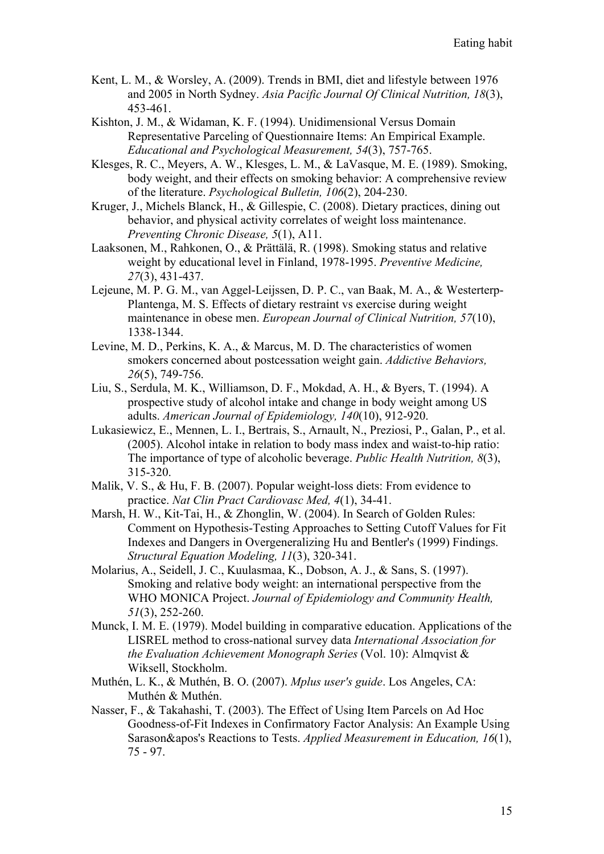- Kent, L. M., & Worsley, A. (2009). Trends in BMI, diet and lifestyle between 1976 and 2005 in North Sydney. *Asia Pacific Journal Of Clinical Nutrition, 18*(3), 453-461.
- Kishton, J. M., & Widaman, K. F. (1994). Unidimensional Versus Domain Representative Parceling of Questionnaire Items: An Empirical Example. *Educational and Psychological Measurement, 54*(3), 757-765.
- Klesges, R. C., Meyers, A. W., Klesges, L. M., & LaVasque, M. E. (1989). Smoking, body weight, and their effects on smoking behavior: A comprehensive review of the literature. *Psychological Bulletin, 106*(2), 204-230.
- Kruger, J., Michels Blanck, H., & Gillespie, C. (2008). Dietary practices, dining out behavior, and physical activity correlates of weight loss maintenance. *Preventing Chronic Disease, 5*(1), A11.
- Laaksonen, M., Rahkonen, O., & Prättälä, R. (1998). Smoking status and relative weight by educational level in Finland, 1978-1995. *Preventive Medicine, 27*(3), 431-437.
- Lejeune, M. P. G. M., van Aggel-Leijssen, D. P. C., van Baak, M. A., & Westerterp-Plantenga, M. S. Effects of dietary restraint vs exercise during weight maintenance in obese men. *European Journal of Clinical Nutrition, 57*(10), 1338-1344.
- Levine, M. D., Perkins, K. A., & Marcus, M. D. The characteristics of women smokers concerned about postcessation weight gain. *Addictive Behaviors, 26*(5), 749-756.
- Liu, S., Serdula, M. K., Williamson, D. F., Mokdad, A. H., & Byers, T. (1994). A prospective study of alcohol intake and change in body weight among US adults. *American Journal of Epidemiology, 140*(10), 912-920.
- Lukasiewicz, E., Mennen, L. I., Bertrais, S., Arnault, N., Preziosi, P., Galan, P., et al. (2005). Alcohol intake in relation to body mass index and waist-to-hip ratio: The importance of type of alcoholic beverage. *Public Health Nutrition, 8*(3), 315-320.
- Malik, V. S., & Hu, F. B. (2007). Popular weight-loss diets: From evidence to practice. *Nat Clin Pract Cardiovasc Med, 4*(1), 34-41.
- Marsh, H. W., Kit-Tai, H., & Zhonglin, W. (2004). In Search of Golden Rules: Comment on Hypothesis-Testing Approaches to Setting Cutoff Values for Fit Indexes and Dangers in Overgeneralizing Hu and Bentler's (1999) Findings. *Structural Equation Modeling, 11*(3), 320-341.
- Molarius, A., Seidell, J. C., Kuulasmaa, K., Dobson, A. J., & Sans, S. (1997). Smoking and relative body weight: an international perspective from the WHO MONICA Project. *Journal of Epidemiology and Community Health, 51*(3), 252-260.
- Munck, I. M. E. (1979). Model building in comparative education. Applications of the LISREL method to cross-national survey data *International Association for the Evaluation Achievement Monograph Series* (Vol. 10): Almqvist & Wiksell, Stockholm.
- Muthén, L. K., & Muthén, B. O. (2007). *Mplus user's guide*. Los Angeles, CA: Muthén & Muthén.
- Nasser, F., & Takahashi, T. (2003). The Effect of Using Item Parcels on Ad Hoc Goodness-of-Fit Indexes in Confirmatory Factor Analysis: An Example Using Sarason&apos's Reactions to Tests. *Applied Measurement in Education, 16*(1), 75 - 97.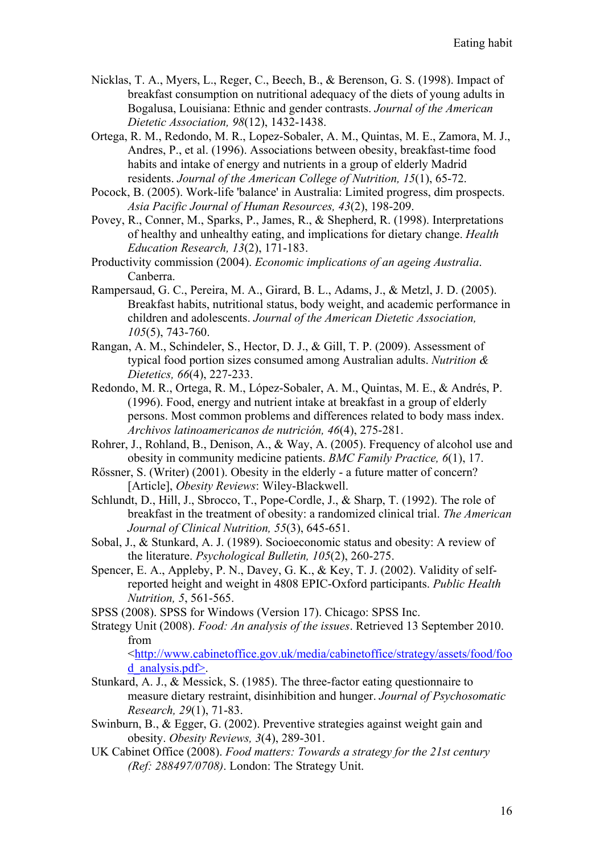- Nicklas, T. A., Myers, L., Reger, C., Beech, B., & Berenson, G. S. (1998). Impact of breakfast consumption on nutritional adequacy of the diets of young adults in Bogalusa, Louisiana: Ethnic and gender contrasts. *Journal of the American Dietetic Association, 98*(12), 1432-1438.
- Ortega, R. M., Redondo, M. R., Lopez-Sobaler, A. M., Quintas, M. E., Zamora, M. J., Andres, P., et al. (1996). Associations between obesity, breakfast-time food habits and intake of energy and nutrients in a group of elderly Madrid residents. *Journal of the American College of Nutrition, 15*(1), 65-72.
- Pocock, B. (2005). Work-life 'balance' in Australia: Limited progress, dim prospects. *Asia Pacific Journal of Human Resources, 43*(2), 198-209.
- Povey, R., Conner, M., Sparks, P., James, R., & Shepherd, R. (1998). Interpretations of healthy and unhealthy eating, and implications for dietary change. *Health Education Research, 13*(2), 171-183.
- Productivity commission (2004). *Economic implications of an ageing Australia*. Canberra.
- Rampersaud, G. C., Pereira, M. A., Girard, B. L., Adams, J., & Metzl, J. D. (2005). Breakfast habits, nutritional status, body weight, and academic performance in children and adolescents. *Journal of the American Dietetic Association, 105*(5), 743-760.
- Rangan, A. M., Schindeler, S., Hector, D. J., & Gill, T. P. (2009). Assessment of typical food portion sizes consumed among Australian adults. *Nutrition & Dietetics, 66*(4), 227-233.
- Redondo, M. R., Ortega, R. M., López-Sobaler, A. M., Quintas, M. E., & Andrés, P. (1996). Food, energy and nutrient intake at breakfast in a group of elderly persons. Most common problems and differences related to body mass index. *Archivos latinoamericanos de nutrición, 46*(4), 275-281.
- Rohrer, J., Rohland, B., Denison, A., & Way, A. (2005). Frequency of alcohol use and obesity in community medicine patients. *BMC Family Practice, 6*(1), 17.
- Rőssner, S. (Writer) (2001). Obesity in the elderly a future matter of concern? [Article], *Obesity Reviews*: Wiley-Blackwell.
- Schlundt, D., Hill, J., Sbrocco, T., Pope-Cordle, J., & Sharp, T. (1992). The role of breakfast in the treatment of obesity: a randomized clinical trial. *The American Journal of Clinical Nutrition, 55*(3), 645-651.
- Sobal, J., & Stunkard, A. J. (1989). Socioeconomic status and obesity: A review of the literature. *Psychological Bulletin, 105*(2), 260-275.
- Spencer, E. A., Appleby, P. N., Davey, G. K., & Key, T. J. (2002). Validity of selfreported height and weight in 4808 EPIC-Oxford participants. *Public Health Nutrition, 5*, 561-565.
- SPSS (2008). SPSS for Windows (Version 17). Chicago: SPSS Inc.
- Strategy Unit (2008). *Food: An analysis of the issues*. Retrieved 13 September 2010. from

<http://www.cabinetoffice.gov.uk/media/cabinetoffice/strategy/assets/food/foo d\_analysis.pdf>.

- Stunkard, A. J., & Messick, S. (1985). The three-factor eating questionnaire to measure dietary restraint, disinhibition and hunger. *Journal of Psychosomatic Research, 29*(1), 71-83.
- Swinburn, B., & Egger, G. (2002). Preventive strategies against weight gain and obesity. *Obesity Reviews, 3*(4), 289-301.
- UK Cabinet Office (2008). *Food matters: Towards a strategy for the 21st century (Ref: 288497/0708)*. London: The Strategy Unit.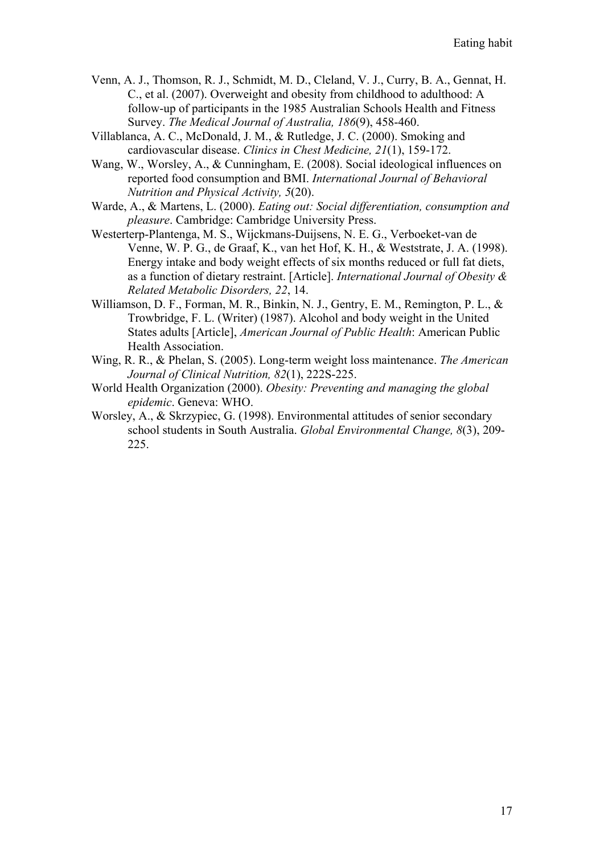- Venn, A. J., Thomson, R. J., Schmidt, M. D., Cleland, V. J., Curry, B. A., Gennat, H. C., et al. (2007). Overweight and obesity from childhood to adulthood: A follow-up of participants in the 1985 Australian Schools Health and Fitness Survey. *The Medical Journal of Australia, 186*(9), 458-460.
- Villablanca, A. C., McDonald, J. M., & Rutledge, J. C. (2000). Smoking and cardiovascular disease. *Clinics in Chest Medicine, 21*(1), 159-172.
- Wang, W., Worsley, A., & Cunningham, E. (2008). Social ideological influences on reported food consumption and BMI. *International Journal of Behavioral Nutrition and Physical Activity, 5*(20).
- Warde, A., & Martens, L. (2000). *Eating out: Social differentiation, consumption and pleasure*. Cambridge: Cambridge University Press.
- Westerterp-Plantenga, M. S., Wijckmans-Duijsens, N. E. G., Verboeket-van de Venne, W. P. G., de Graaf, K., van het Hof, K. H., & Weststrate, J. A. (1998). Energy intake and body weight effects of six months reduced or full fat diets, as a function of dietary restraint. [Article]. *International Journal of Obesity & Related Metabolic Disorders, 22*, 14.
- Williamson, D. F., Forman, M. R., Binkin, N. J., Gentry, E. M., Remington, P. L., & Trowbridge, F. L. (Writer) (1987). Alcohol and body weight in the United States adults [Article], *American Journal of Public Health*: American Public Health Association.
- Wing, R. R., & Phelan, S. (2005). Long-term weight loss maintenance. *The American Journal of Clinical Nutrition, 82*(1), 222S-225.
- World Health Organization (2000). *Obesity: Preventing and managing the global epidemic*. Geneva: WHO.
- Worsley, A., & Skrzypiec, G. (1998). Environmental attitudes of senior secondary school students in South Australia. *Global Environmental Change, 8*(3), 209- 225.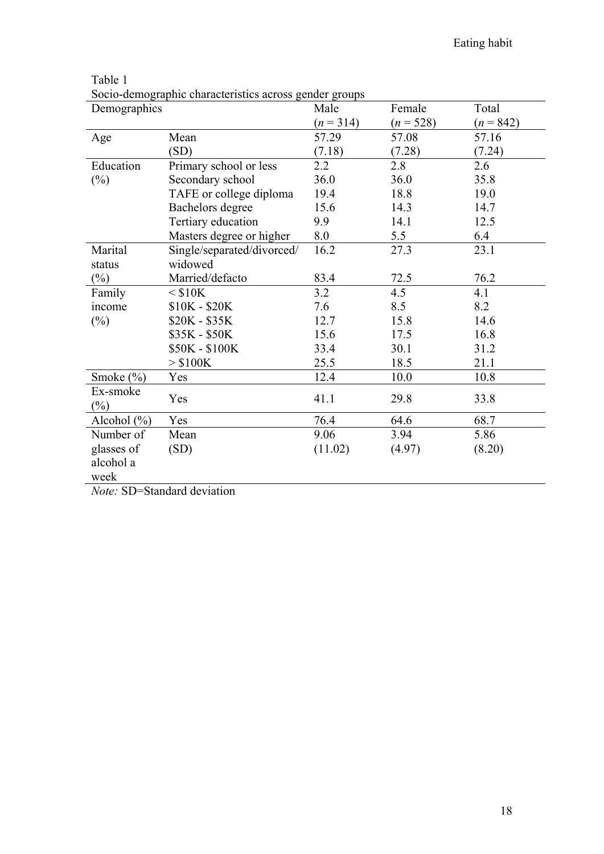| Demographics                           |                            | Male        | Female      | Total       |
|----------------------------------------|----------------------------|-------------|-------------|-------------|
|                                        |                            | $(n = 314)$ | $(n = 528)$ | $(n = 842)$ |
| Age                                    | Mean                       | 57.29       | 57.08       | 57.16       |
|                                        | (SD)                       | (7.18)      | (7.28)      | (7.24)      |
| Education                              | Primary school or less     | 2.2         | 2.8         | 2.6         |
| $(\%)$                                 | Secondary school           | 36.0        | 36.0        | 35.8        |
|                                        | TAFE or college diploma    | 19.4        | 18.8        | 19.0        |
|                                        | Bachelors degree           | 15.6        | 14.3        | 14.7        |
|                                        | Tertiary education         | 9.9         | 14.1        | 12.5        |
|                                        | Masters degree or higher   | 8.0         | 5.5         | 6.4         |
| Marital                                | Single/separated/divorced/ | 16.2        | 27.3        | 23.1        |
| status                                 | widowed                    |             |             |             |
| $(\%)$                                 | Married/defacto            | 83.4        | 72.5        | 76.2        |
| Family                                 | $<$ \$10K                  | 3.2         | 4.5         | 4.1         |
| income                                 | $$10K - $20K$              | 7.6         | 8.5         | 8.2         |
| $(\%)$                                 | \$20K - \$35K              | 12.7        | 15.8        | 14.6        |
|                                        | \$35K - \$50K              | 15.6        | 17.5        | 16.8        |
|                                        | \$50K - \$100K             | 33.4        | 30.1        | 31.2        |
|                                        | > \$100K                   | 25.5        | 18.5        | 21.1        |
| Smoke $(\% )$                          | Yes                        | 12.4        | 10.0        | 10.8        |
| Ex-smoke<br>$\left(\frac{0}{0}\right)$ | Yes                        | 41.1        | 29.8        | 33.8        |
| Alcohol $(\% )$                        | Yes                        | 76.4        | 64.6        | 68.7        |
| Number of                              | Mean                       | 9.06        | 3.94        | 5.86        |
| glasses of                             | (SD)                       | (11.02)     | (4.97)      | (8.20)      |
| alcohol a<br>week                      |                            |             |             |             |

| anie |  |
|------|--|
|      |  |

Socio-demographic characteristics across gender groups

*Note:* SD=Standard deviation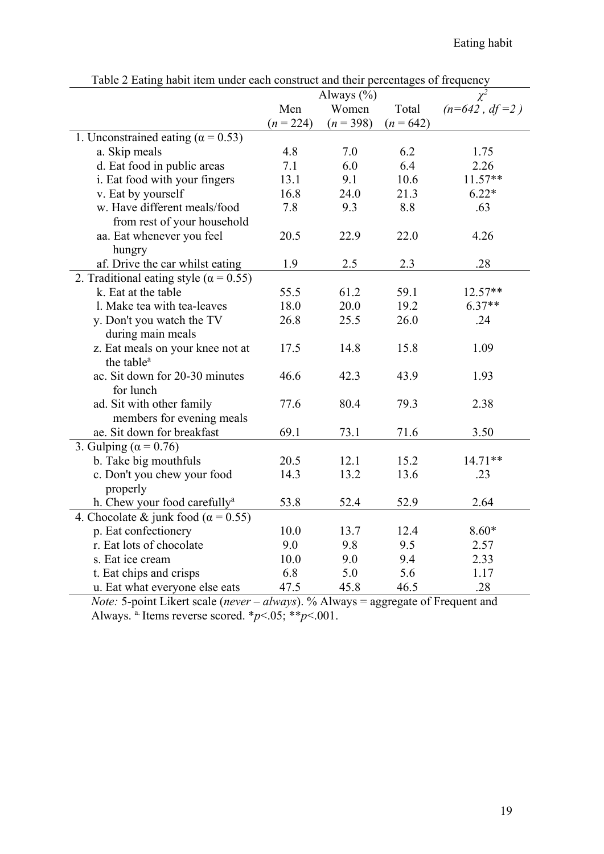|                                                | $\sum_{i=1}^{n}$<br>Always $(\% )$ |             |             |                 |  |
|------------------------------------------------|------------------------------------|-------------|-------------|-----------------|--|
|                                                | Men                                | Women       | Total       | $(n=642, df=2)$ |  |
|                                                | $(n = 224)$                        | $(n = 398)$ | $(n = 642)$ |                 |  |
| 1. Unconstrained eating ( $\alpha$ = 0.53)     |                                    |             |             |                 |  |
| a. Skip meals                                  | 4.8                                | 7.0         | 6.2         | 1.75            |  |
| d. Eat food in public areas                    | 7.1                                | 6.0         | 6.4         | 2.26            |  |
| i. Eat food with your fingers                  | 13.1                               | 9.1         | 10.6        | 11.57**         |  |
| v. Eat by yourself                             | 16.8                               | 24.0        | 21.3        | $6.22*$         |  |
| w. Have different meals/food                   | 7.8                                | 9.3         | 8.8         | .63             |  |
| from rest of your household                    |                                    |             |             |                 |  |
| aa. Eat whenever you feel                      | 20.5                               | 22.9        | 22.0        | 4.26            |  |
| hungry                                         |                                    |             |             |                 |  |
| af. Drive the car whilst eating                | 1.9                                | 2.5         | 2.3         | .28             |  |
| 2. Traditional eating style ( $\alpha$ = 0.55) |                                    |             |             |                 |  |
| k. Eat at the table                            | 55.5                               | 61.2        | 59.1        | 12.57**         |  |
| l. Make tea with tea-leaves                    | 18.0                               | 20.0        | 19.2        | $6.37**$        |  |
| y. Don't you watch the TV                      | 26.8                               | 25.5        | 26.0        | .24             |  |
| during main meals                              |                                    |             |             |                 |  |
| z. Eat meals on your knee not at               | 17.5                               | 14.8        | 15.8        | 1.09            |  |
| the table <sup>a</sup>                         |                                    |             |             |                 |  |
| ac. Sit down for 20-30 minutes                 | 46.6                               | 42.3        | 43.9        | 1.93            |  |
| for lunch                                      |                                    |             |             |                 |  |
| ad. Sit with other family                      | 77.6                               | 80.4        | 79.3        | 2.38            |  |
| members for evening meals                      |                                    |             |             |                 |  |
| ae. Sit down for breakfast                     | 69.1                               | 73.1        | 71.6        | 3.50            |  |
| 3. Gulping ( $\alpha$ = 0.76)                  |                                    |             |             |                 |  |
| b. Take big mouthfuls                          | 20.5                               | 12.1        | 15.2        | 14.71**         |  |
| c. Don't you chew your food                    | 14.3                               | 13.2        | 13.6        | .23             |  |
| properly                                       |                                    |             |             |                 |  |
| h. Chew your food carefully <sup>a</sup>       | 53.8                               | 52.4        | 52.9        | 2.64            |  |
| 4. Chocolate & junk food ( $\alpha$ = 0.55)    |                                    |             |             |                 |  |
| p. Eat confectionery                           | 10.0                               | 13.7        | 12.4        | $8.60*$         |  |
| r. Eat lots of chocolate                       | 9.0                                | 9.8         | 9.5         | 2.57            |  |
| s. Eat ice cream                               | 10.0                               | 9.0         | 9.4         | 2.33            |  |
| t. Eat chips and crisps                        | 6.8                                | 5.0         | 5.6         | 1.17            |  |
| u. Eat what everyone else eats                 | 47.5                               | 45.8        | 46.5        | .28             |  |

Table 2 Eating habit item under each construct and their percentages of frequency

*Note:* 5-point Likert scale (*never – always*). % Always = aggregate of Frequent and Always. <sup>a.</sup> Items reverse scored. \* $p$ <.05; \*\* $p$ <.001.